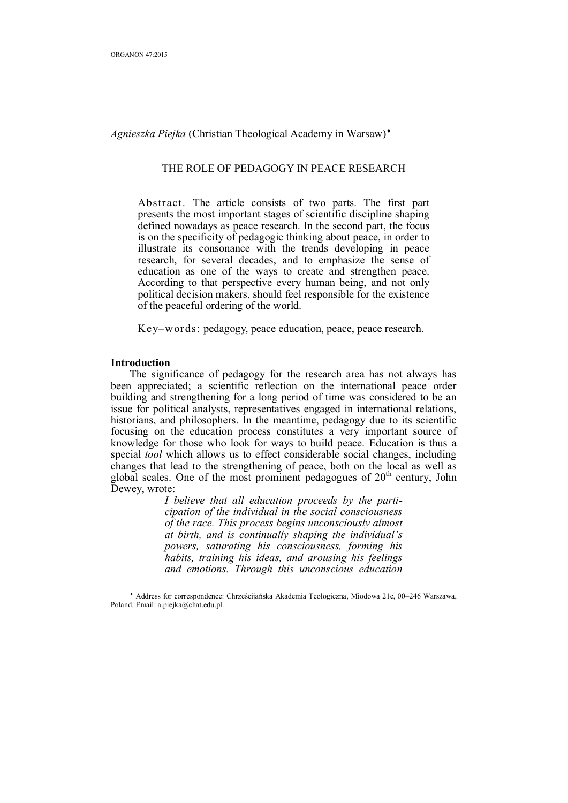*Agnieszka Piejka* (Christian Theological Academy in Warsaw)

# THE ROLE OF PEDAGOGY IN PEACE RESEARCH

Abstract. The article consists of two parts. The first part presents the most important stages of scientific discipline shaping defined nowadays as peace research. In the second part, the focus is on the specificity of pedagogic thinking about peace, in order to illustrate its consonance with the trends developing in peace research, for several decades, and to emphasize the sense of education as one of the ways to create and strengthen peace. According to that perspective every human being, and not only political decision makers, should feel responsible for the existence of the peaceful ordering of the world.

Key–words: pedagogy, peace education, peace, peace research.

#### **Introduction**

 $\overline{a}$ 

The significance of pedagogy for the research area has not always has been appreciated; a scientific reflection on the international peace order building and strengthening for a long period of time was considered to be an issue for political analysts, representatives engaged in international relations, historians, and philosophers. In the meantime, pedagogy due to its scientific focusing on the education process constitutes a very important source of knowledge for those who look for ways to build peace. Education is thus a special *tool* which allows us to effect considerable social changes, including changes that lead to the strengthening of peace, both on the local as well as global scales. One of the most prominent pedagogues of  $20<sup>th</sup>$  century, John Dewey, wrote:

> *I believe that all education proceeds by the participation of the individual in the social consciousness of the race. This process begins unconsciously almost at birth, and is continually shaping the individual's powers, saturating his consciousness, forming his habits, training his ideas, and arousing his feelings and emotions. Through this unconscious education*

 Address for correspondence: Chrześcijańska Akademia Teologiczna, Miodowa 21c, 00–246 Warszawa, Poland. Email: a.piejka@chat.edu.pl.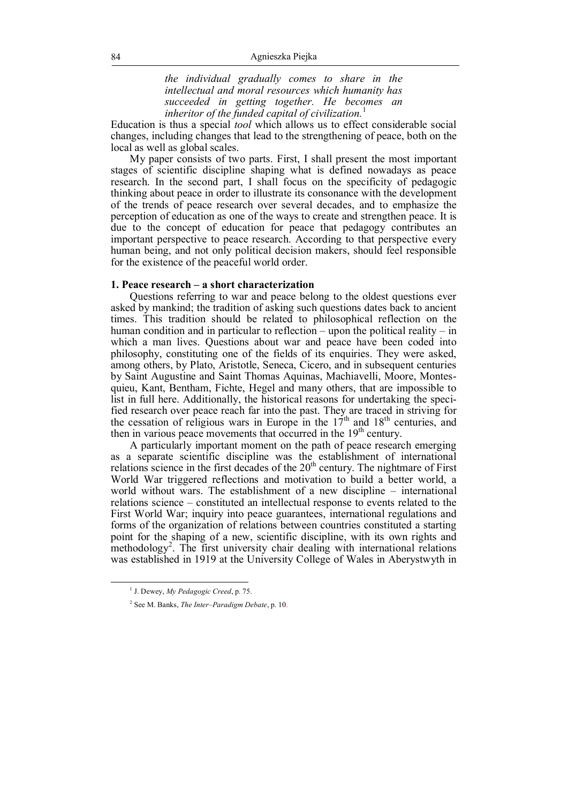*the individual gradually comes to share in the intellectual and moral resources which humanity has succeeded in getting together. He becomes an inheritor of the funded capital of civilization.*<sup>1</sup>

Education is thus a special *tool* which allows us to effect considerable social changes, including changes that lead to the strengthening of peace, both on the local as well as global scales.

My paper consists of two parts. First, I shall present the most important stages of scientific discipline shaping what is defined nowadays as peace research. In the second part, I shall focus on the specificity of pedagogic thinking about peace in order to illustrate its consonance with the development of the trends of peace research over several decades, and to emphasize the perception of education as one of the ways to create and strengthen peace. It is due to the concept of education for peace that pedagogy contributes an important perspective to peace research. According to that perspective every human being, and not only political decision makers, should feel responsible for the existence of the peaceful world order.

## **1. Peace research – a short characterization**

Questions referring to war and peace belong to the oldest questions ever asked by mankind; the tradition of asking such questions dates back to ancient times. This tradition should be related to philosophical reflection on the human condition and in particular to reflection – upon the political reality – in which a man lives. Questions about war and peace have been coded into philosophy, constituting one of the fields of its enquiries. They were asked, among others, by Plato, Aristotle, Seneca, Cicero, and in subsequent centuries by Saint Augustine and Saint Thomas Aquinas, Machiavelli, Moore, Montesquieu, Kant, Bentham, Fichte, Hegel and many others, that are impossible to list in full here. Additionally, the historical reasons for undertaking the specified research over peace reach far into the past. They are traced in striving for the cessation of religious wars in Europe in the  $17<sup>th</sup>$  and  $18<sup>th</sup>$  centuries, and then in various peace movements that occurred in the 19<sup>th</sup> century.

A particularly important moment on the path of peace research emerging as a separate scientific discipline was the establishment of international relations science in the first decades of the  $20<sup>th</sup>$  century. The nightmare of First World War triggered reflections and motivation to build a better world, a world without wars. The establishment of a new discipline – international relations science – constituted an intellectual response to events related to the First World War; inquiry into peace guarantees, international regulations and forms of the organization of relations between countries constituted a starting point for the shaping of a new, scientific discipline, with its own rights and methodology<sup>2</sup>. The first university chair dealing with international relations was established in 1919 at the University College of Wales in Aberystwyth in

<sup>1</sup> J. Dewey, *My Pedagogic Creed*, p. 75.

<sup>2</sup> See M. Banks, *The Inter–Paradigm Debate*, p. 10.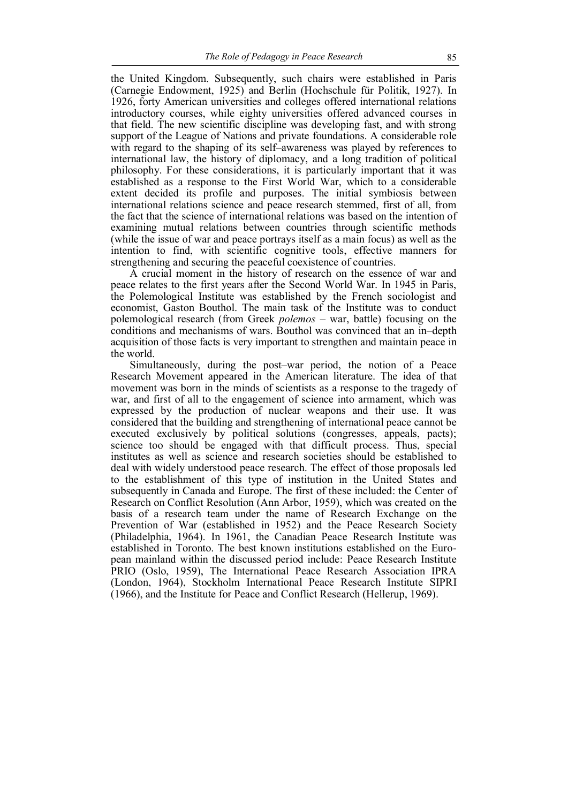the United Kingdom. Subsequently, such chairs were established in Paris (Carnegie Endowment, 1925) and Berlin (Hochschule für Politik, 1927). In 1926, forty American universities and colleges offered international relations introductory courses, while eighty universities offered advanced courses in that field. The new scientific discipline was developing fast, and with strong support of the League of Nations and private foundations. A considerable role with regard to the shaping of its self–awareness was played by references to international law, the history of diplomacy, and a long tradition of political philosophy. For these considerations, it is particularly important that it was established as a response to the First World War, which to a considerable extent decided its profile and purposes. The initial symbiosis between international relations science and peace research stemmed, first of all, from the fact that the science of international relations was based on the intention of examining mutual relations between countries through scientific methods (while the issue of war and peace portrays itself as a main focus) as well as the intention to find, with scientific cognitive tools, effective manners for strengthening and securing the peaceful coexistence of countries.

A crucial moment in the history of research on the essence of war and peace relates to the first years after the Second World War. In 1945 in Paris, the Polemological Institute was established by the French sociologist and economist, Gaston Bouthol. The main task of the Institute was to conduct polemological research (from Greek *polemos* – war, battle) focusing on the conditions and mechanisms of wars. Bouthol was convinced that an in–depth acquisition of those facts is very important to strengthen and maintain peace in the world.

Simultaneously, during the post–war period, the notion of a Peace Research Movement appeared in the American literature. The idea of that movement was born in the minds of scientists as a response to the tragedy of war, and first of all to the engagement of science into armament, which was expressed by the production of nuclear weapons and their use. It was considered that the building and strengthening of international peace cannot be executed exclusively by political solutions (congresses, appeals, pacts); science too should be engaged with that difficult process. Thus, special institutes as well as science and research societies should be established to deal with widely understood peace research. The effect of those proposals led to the establishment of this type of institution in the United States and subsequently in Canada and Europe. The first of these included: the Center of Research on Conflict Resolution (Ann Arbor, 1959), which was created on the basis of a research team under the name of Research Exchange on the Prevention of War (established in 1952) and the Peace Research Society (Philadelphia, 1964). In 1961, the Canadian Peace Research Institute was established in Toronto. The best known institutions established on the European mainland within the discussed period include: Peace Research Institute PRIO (Oslo, 1959), The International Peace Research Association IPRA (London, 1964), Stockholm International Peace Research Institute SIPRI (1966), and the Institute for Peace and Conflict Research (Hellerup, 1969).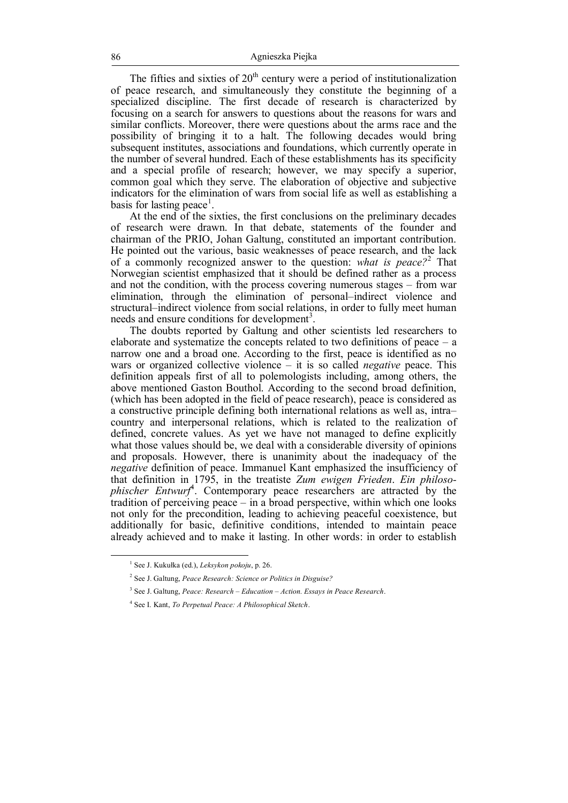The fifties and sixties of  $20<sup>th</sup>$  century were a period of institutionalization of peace research, and simultaneously they constitute the beginning of a specialized discipline. The first decade of research is characterized by focusing on a search for answers to questions about the reasons for wars and similar conflicts. Moreover, there were questions about the arms race and the possibility of bringing it to a halt. The following decades would bring subsequent institutes, associations and foundations, which currently operate in the number of several hundred. Each of these establishments has its specificity and a special profile of research; however, we may specify a superior, common goal which they serve. The elaboration of objective and subjective indicators for the elimination of wars from social life as well as establishing a basis for lasting peace<sup>1</sup>.

At the end of the sixties, the first conclusions on the preliminary decades of research were drawn. In that debate, statements of the founder and chairman of the PRIO, Johan Galtung, constituted an important contribution. He pointed out the various, basic weaknesses of peace research, and the lack of a commonly recognized answer to the question: *what is peace?*<sup>2</sup> That Norwegian scientist emphasized that it should be defined rather as a process and not the condition, with the process covering numerous stages – from war elimination, through the elimination of personal–indirect violence and structural–indirect violence from social relations, in order to fully meet human needs and ensure conditions for development<sup>3</sup>.

The doubts reported by Galtung and other scientists led researchers to elaborate and systematize the concepts related to two definitions of peace – a narrow one and a broad one. According to the first, peace is identified as no wars or organized collective violence – it is so called *negative* peace. This definition appeals first of all to polemologists including, among others, the above mentioned Gaston Bouthol. According to the second broad definition, (which has been adopted in the field of peace research), peace is considered as a constructive principle defining both international relations as well as, intra– country and interpersonal relations, which is related to the realization of defined, concrete values. As yet we have not managed to define explicitly what those values should be, we deal with a considerable diversity of opinions and proposals. However, there is unanimity about the inadequacy of the *negative* definition of peace. Immanuel Kant emphasized the insufficiency of that definition in 1795, in the treatiste *Zum ewigen Frieden*. *Ein philosophischer Entwurf*<sup>4</sup> . Contemporary peace researchers are attracted by the tradition of perceiving peace – in a broad perspective, within which one looks not only for the precondition, leading to achieving peaceful coexistence, but additionally for basic, definitive conditions, intended to maintain peace already achieved and to make it lasting. In other words: in order to establish

 $\overline{a}$ 

4 See I. Kant, *To Perpetual Peace: A Philosophical Sketch*.

<sup>1</sup> See J. Kukułka (ed.), *Leksykon pokoju*, p. 26.

<sup>2</sup> See J. Galtung, *Peace Research: Science or Politics in Disguise?*

<sup>3</sup> See J. Galtung, *Peace: Research – Education – Action. Essays in Peace Research*.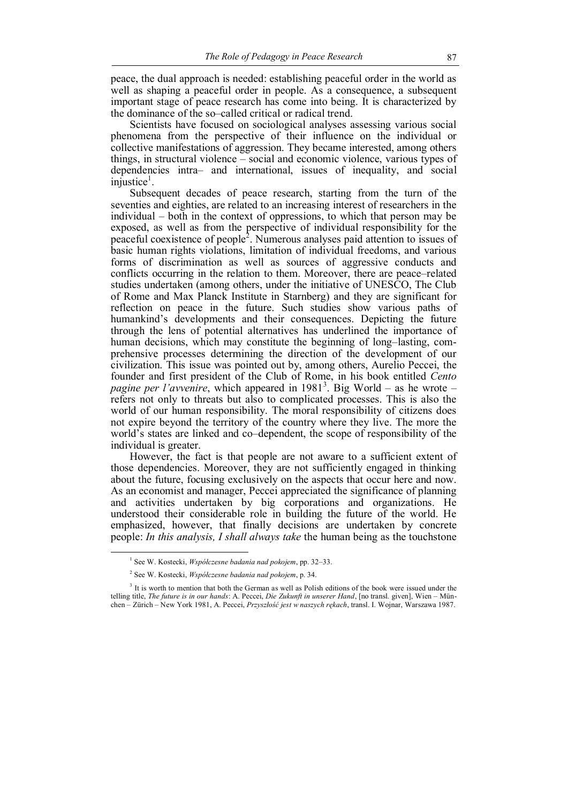peace, the dual approach is needed: establishing peaceful order in the world as well as shaping a peaceful order in people. As a consequence, a subsequent important stage of peace research has come into being. It is characterized by the dominance of the so–called critical or radical trend.

Scientists have focused on sociological analyses assessing various social phenomena from the perspective of their influence on the individual or collective manifestations of aggression. They became interested, among others things, in structural violence – social and economic violence, various types of dependencies intra– and international, issues of inequality, and social  $in$ 

Subsequent decades of peace research, starting from the turn of the seventies and eighties, are related to an increasing interest of researchers in the individual – both in the context of oppressions, to which that person may be exposed, as well as from the perspective of individual responsibility for the peaceful coexistence of people<sup>2</sup>. Numerous analyses paid attention to issues of basic human rights violations, limitation of individual freedoms, and various forms of discrimination as well as sources of aggressive conducts and conflicts occurring in the relation to them. Moreover, there are peace–related studies undertaken (among others, under the initiative of UNESCO, The Club of Rome and Max Planck Institute in Starnberg) and they are significant for reflection on peace in the future. Such studies show various paths of humankind's developments and their consequences. Depicting the future through the lens of potential alternatives has underlined the importance of human decisions, which may constitute the beginning of long–lasting, comprehensive processes determining the direction of the development of our civilization. This issue was pointed out by, among others, Aurelio Peccei, the founder and first president of the Club of Rome, in his book entitled *Cento*  pagine per l'avvenire, which appeared in 1981<sup>3</sup>. Big World – as he wrote – refers not only to threats but also to complicated processes. This is also the world of our human responsibility. The moral responsibility of citizens does not expire beyond the territory of the country where they live. The more the world's states are linked and co–dependent, the scope of responsibility of the individual is greater.

However, the fact is that people are not aware to a sufficient extent of those dependencies. Moreover, they are not sufficiently engaged in thinking about the future, focusing exclusively on the aspects that occur here and now. As an economist and manager, Peccei appreciated the significance of planning and activities undertaken by big corporations and organizations. He understood their considerable role in building the future of the world. He emphasized, however, that finally decisions are undertaken by concrete people: *In this analysis, I shall always take* the human being as the touchstone

<sup>1</sup> See W. Kostecki, *Współczesne badania nad pokojem*, pp. 32–33.

<sup>2</sup> See W. Kostecki, *Współczesne badania nad pokojem*, p. 34.

<sup>&</sup>lt;sup>3</sup> It is worth to mention that both the German as well as Polish editions of the book were issued under the telling title, *The future is in our hands*: A. Peccei, *Die Zukunft in unserer Hand*, [no transl. given], Wien – München – Zürich – New York 1981, A. Peccei, *Przyszłość jest w naszych rękach*, transl. I. Wojnar, Warszawa 1987.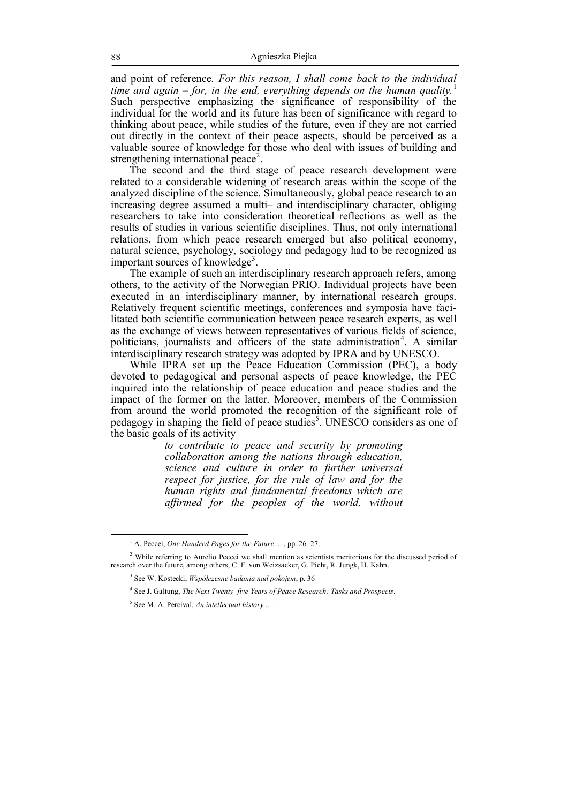and point of reference*. For this reason, I shall come back to the individual time and again – for, in the end, everything depends on the human quality.*<sup>1</sup> Such perspective emphasizing the significance of responsibility of the individual for the world and its future has been of significance with regard to thinking about peace, while studies of the future, even if they are not carried out directly in the context of their peace aspects, should be perceived as a valuable source of knowledge for those who deal with issues of building and strengthening international peace<sup>2</sup>.

The second and the third stage of peace research development were related to a considerable widening of research areas within the scope of the analyzed discipline of the science. Simultaneously, global peace research to an increasing degree assumed a multi– and interdisciplinary character, obliging researchers to take into consideration theoretical reflections as well as the results of studies in various scientific disciplines. Thus, not only international relations, from which peace research emerged but also political economy, natural science, psychology, sociology and pedagogy had to be recognized as important sources of knowledge<sup>3</sup>.

The example of such an interdisciplinary research approach refers, among others, to the activity of the Norwegian PRIO. Individual projects have been executed in an interdisciplinary manner, by international research groups. Relatively frequent scientific meetings, conferences and symposia have facilitated both scientific communication between peace research experts, as well as the exchange of views between representatives of various fields of science, politicians, journalists and officers of the state administration<sup>4</sup>. A similar interdisciplinary research strategy was adopted by IPRA and by UNESCO.

While IPRA set up the Peace Education Commission (PEC), a body devoted to pedagogical and personal aspects of peace knowledge, the PEC inquired into the relationship of peace education and peace studies and the impact of the former on the latter. Moreover, members of the Commission from around the world promoted the recognition of the significant role of pedagogy in shaping the field of peace studies<sup>5</sup>. UNESCO considers as one of the basic goals of its activity

*to contribute to peace and security by promoting collaboration among the nations through education, science and culture in order to further universal respect for justice, for the rule of law and for the human rights and fundamental freedoms which are affirmed for the peoples of the world, without* 

<sup>&</sup>lt;sup>1</sup> A. Peccei, *One Hundred Pages for the Future* ..., pp. 26–27.

<sup>&</sup>lt;sup>2</sup> While referring to Aurelio Peccei we shall mention as scientists meritorious for the discussed period of research over the future, among others, C. F. von Weizsäcker, G. Picht, R. Jungk, H. Kahn.

<sup>3</sup> See W. Kostecki, *Współczesne badania nad pokojem*, p. 36

<sup>4</sup> See J. Galtung, *The Next Twenty–five Years of Peace Research: Tasks and Prospects*.

<sup>5</sup> See M. A. Percival, *An intellectual history* ... .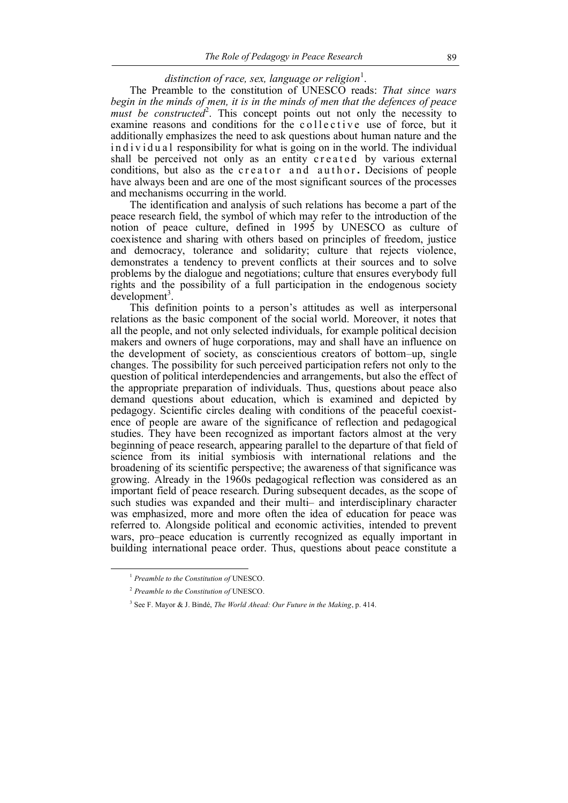# distinction of race, sex, language or religion<sup>1</sup>.

The Preamble to the constitution of UNESCO reads: *That since wars begin in the minds of men, it is in the minds of men that the defences of peace*   $m$ ust be constructed<sup>2</sup>. This concept points out not only the necessity to examine reasons and conditions for the collective use of force, but it additionally emphasizes the need to ask questions about human nature and the in d i v i d u a l responsibility for what is going on in the world. The individual shall be perceived not only as an entity created by various external conditions, but also as the creator and author. Decisions of people have always been and are one of the most significant sources of the processes and mechanisms occurring in the world.

The identification and analysis of such relations has become a part of the peace research field, the symbol of which may refer to the introduction of the notion of peace culture, defined in 1995 by UNESCO as culture of coexistence and sharing with others based on principles of freedom, justice and democracy, tolerance and solidarity; culture that rejects violence, demonstrates a tendency to prevent conflicts at their sources and to solve problems by the dialogue and negotiations; culture that ensures everybody full rights and the possibility of a full participation in the endogenous society  $d$ evelopment<sup>3</sup>.

This definition points to a person's attitudes as well as interpersonal relations as the basic component of the social world. Moreover, it notes that all the people, and not only selected individuals, for example political decision makers and owners of huge corporations, may and shall have an influence on the development of society, as conscientious creators of bottom–up, single changes. The possibility for such perceived participation refers not only to the question of political interdependencies and arrangements, but also the effect of the appropriate preparation of individuals. Thus, questions about peace also demand questions about education, which is examined and depicted by pedagogy. Scientific circles dealing with conditions of the peaceful coexistence of people are aware of the significance of reflection and pedagogical studies. They have been recognized as important factors almost at the very beginning of peace research, appearing parallel to the departure of that field of science from its initial symbiosis with international relations and the broadening of its scientific perspective; the awareness of that significance was growing. Already in the 1960s pedagogical reflection was considered as an important field of peace research. During subsequent decades, as the scope of such studies was expanded and their multi– and interdisciplinary character was emphasized, more and more often the idea of education for peace was referred to. Alongside political and economic activities, intended to prevent wars, pro–peace education is currently recognized as equally important in building international peace order. Thus, questions about peace constitute a

<sup>1</sup>  *Preamble to the Constitution of* UNESCO.

<sup>2</sup> *Preamble to the Constitution of* UNESCO.

<sup>3</sup> See F. Mayor & J. Bindé, *The World Ahead: Our Future in the Making*, p. 414.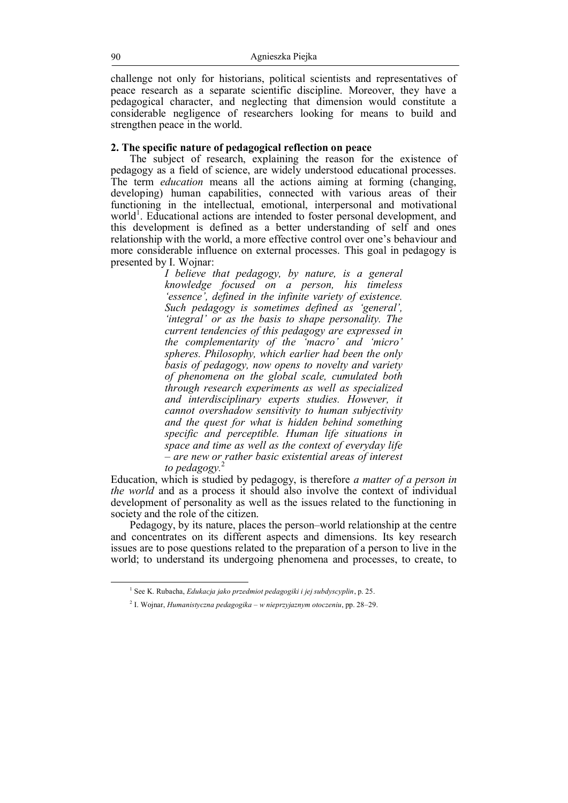challenge not only for historians, political scientists and representatives of peace research as a separate scientific discipline. Moreover, they have a pedagogical character, and neglecting that dimension would constitute a considerable negligence of researchers looking for means to build and strengthen peace in the world.

## **2. The specific nature of pedagogical reflection on peace**

The subject of research, explaining the reason for the existence of pedagogy as a field of science, are widely understood educational processes. The term *education* means all the actions aiming at forming (changing, developing) human capabilities, connected with various areas of their functioning in the intellectual, emotional, interpersonal and motivational world<sup>1</sup>. Educational actions are intended to foster personal development, and this development is defined as a better understanding of self and ones relationship with the world, a more effective control over one's behaviour and more considerable influence on external processes. This goal in pedagogy is presented by I. Wojnar:

> *I believe that pedagogy, by nature, is a general knowledge focused on a person, his timeless 'essence', defined in the infinite variety of existence. Such pedagogy is sometimes defined as 'general', 'integral' or as the basis to shape personality. The current tendencies of this pedagogy are expressed in the complementarity of the 'macro' and 'micro' spheres. Philosophy, which earlier had been the only basis of pedagogy, now opens to novelty and variety of phenomena on the global scale, cumulated both through research experiments as well as specialized and interdisciplinary experts studies. However, it cannot overshadow sensitivity to human subjectivity and the quest for what is hidden behind something specific and perceptible. Human life situations in space and time as well as the context of everyday life – are new or rather basic existential areas of interest to pedagogy.*<sup>2</sup>

Education, which is studied by pedagogy, is therefore *a matter of a person in the world* and as a process it should also involve the context of individual development of personality as well as the issues related to the functioning in society and the role of the citizen.

Pedagogy, by its nature, places the person–world relationship at the centre and concentrates on its different aspects and dimensions. Its key research issues are to pose questions related to the preparation of a person to live in the world; to understand its undergoing phenomena and processes, to create, to

<sup>1</sup> See K. Rubacha, *Edukacja jako przedmiot pedagogiki i jej subdyscyplin*, p. 25.

<sup>2</sup> I. Wojnar, *Humanistyczna pedagogika – w nieprzyjaznym otoczeniu*, pp. 28–29.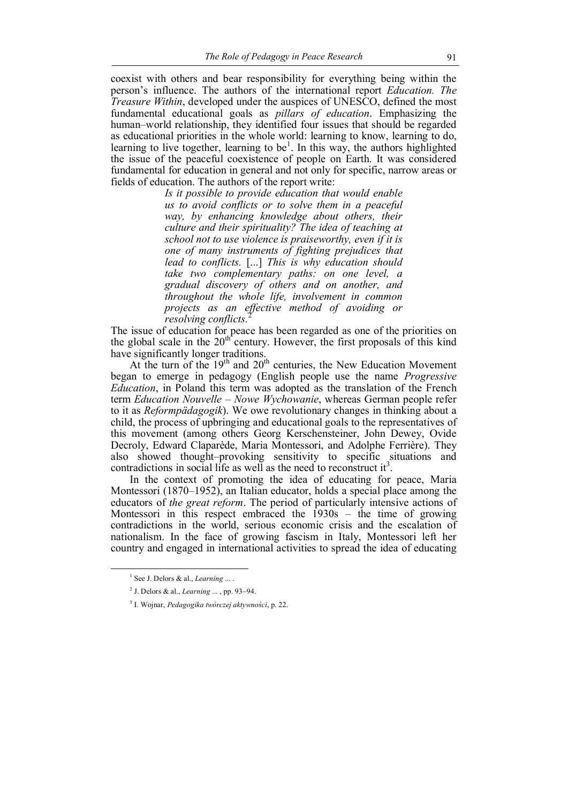coexist with others and bear responsibility for everything being within the person's influence. The authors of the international report *Education. The Treasure Within*, developed under the auspices of UNESCO, defined the most fundamental educational goals as *pillars of education*. Emphasizing the human–world relationship, they identified four issues that should be regarded as educational priorities in the whole world: learning to know, learning to do, learning to live together, learning to be<sup>1</sup>. In this way, the authors highlighted the issue of the peaceful coexistence of people on Earth. It was considered fundamental for education in general and not only for specific, narrow areas or fields of education. The authors of the report write:

> *Is it possible to provide education that would enable us to avoid conflicts or to solve them in a peaceful way, by enhancing knowledge about others, their culture and their spirituality? The idea of teaching at school not to use violence is praiseworthy, even if it is one of many instruments of fighting prejudices that lead to conflicts.* [...] *This is why education should take two complementary paths: on one level, a gradual discovery of others and on another, and throughout the whole life, involvement in common projects as an effective method of avoiding or resolving conflicts.*<sup>2</sup>

The issue of education for peace has been regarded as one of the priorities on the issue of cuted ion for peace and contracted in  $\frac{1}{2}$  for the global scale in the  $20^{\text{th}}$  century. However, the first proposals of this kind have significantly longer traditions.

At the turn of the  $19<sup>th</sup>$  and  $20<sup>th</sup>$  centuries, the New Education Movement began to emerge in pedagogy (English people use the name *Progressive Education*, in Poland this term was adopted as the translation of the French term *Education Nouvelle* – *Nowe Wychowanie*, whereas German people refer to it as *Reformpädagogik*). We owe revolutionary changes in thinking about a child, the process of upbringing and educational goals to the representatives of this movement (among others Georg Kerschensteiner, John Dewey, Ovide Decroly, Edward Claparède, Maria Montessori, and Adolphe Ferrière). They also showed thought–provoking sensitivity to specific situations and contradictions in social life as well as the need to reconstruct it<sup>3</sup>.

In the context of promoting the idea of educating for peace, Maria Montessori (1870–1952), an Italian educator, holds a special place among the educators of *the great reform*. The period of particularly intensive actions of Montessori in this respect embraced the 1930s – the time of growing contradictions in the world, serious economic crisis and the escalation of nationalism. In the face of growing fascism in Italy, Montessori left her country and engaged in international activities to spread the idea of educating

<sup>&</sup>lt;sup>1</sup> See J. Delors & al., *Learning* ... .

<sup>2</sup> J. Delors & al., *Learning* ... , pp. 93–94.

<sup>3</sup> I. Wojnar, *Pedagogika twórczej aktywności*, p. 22.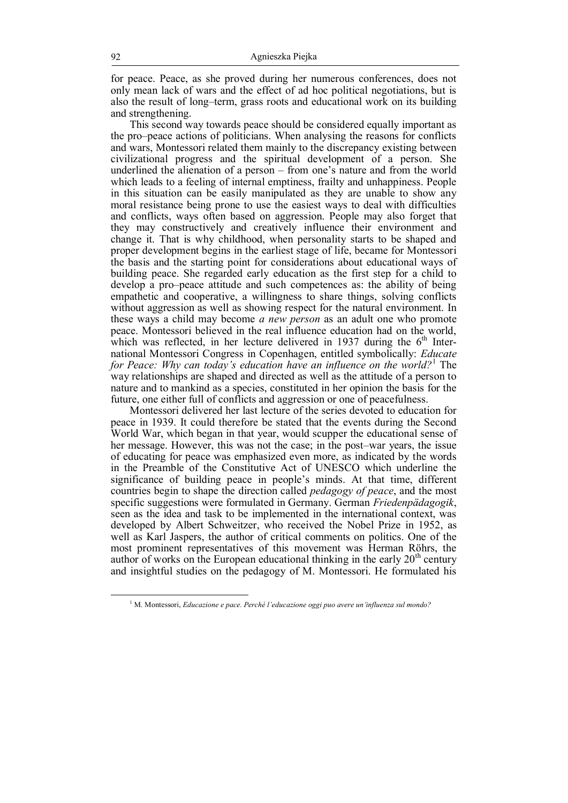for peace. Peace, as she proved during her numerous conferences, does not only mean lack of wars and the effect of ad hoc political negotiations, but is also the result of long–term, grass roots and educational work on its building and strengthening.

This second way towards peace should be considered equally important as the pro–peace actions of politicians. When analysing the reasons for conflicts and wars, Montessori related them mainly to the discrepancy existing between civilizational progress and the spiritual development of a person. She underlined the alienation of a person – from one's nature and from the world which leads to a feeling of internal emptiness, frailty and unhappiness. People in this situation can be easily manipulated as they are unable to show any moral resistance being prone to use the easiest ways to deal with difficulties and conflicts, ways often based on aggression. People may also forget that they may constructively and creatively influence their environment and change it. That is why childhood, when personality starts to be shaped and proper development begins in the earliest stage of life, became for Montessori the basis and the starting point for considerations about educational ways of building peace. She regarded early education as the first step for a child to develop a pro–peace attitude and such competences as: the ability of being empathetic and cooperative, a willingness to share things, solving conflicts without aggression as well as showing respect for the natural environment. In these ways a child may become *a new person* as an adult one who promote peace. Montessori believed in the real influence education had on the world, which was reflected, in her lecture delivered in 1937 during the  $6<sup>th</sup>$  International Montessori Congress in Copenhagen, entitled symbolically: *Educate for Peace: Why can today's education have an influence on the world?*<sup>1</sup> The way relationships are shaped and directed as well as the attitude of a person to nature and to mankind as a species, constituted in her opinion the basis for the future, one either full of conflicts and aggression or one of peacefulness.

Montessori delivered her last lecture of the series devoted to education for peace in 1939. It could therefore be stated that the events during the Second World War, which began in that year, would scupper the educational sense of her message. However, this was not the case; in the post–war years, the issue of educating for peace was emphasized even more, as indicated by the words in the Preamble of the Constitutive Act of UNESCO which underline the significance of building peace in people's minds. At that time, different countries begin to shape the direction called *pedagogy of peace*, and the most specific suggestions were formulated in Germany. German *Friedenpädagogik*, seen as the idea and task to be implemented in the international context, was developed by Albert Schweitzer, who received the Nobel Prize in 1952, as well as Karl Jaspers, the author of critical comments on politics. One of the most prominent representatives of this movement was Herman Röhrs, the author of works on the European educational thinking in the early  $20<sup>th</sup>$  century and insightful studies on the pedagogy of M. Montessori. He formulated his

<sup>1</sup> M. Montessori, *Educazione e pace. Perché l'educazione oggi puo avere un'influenza sul mondo?*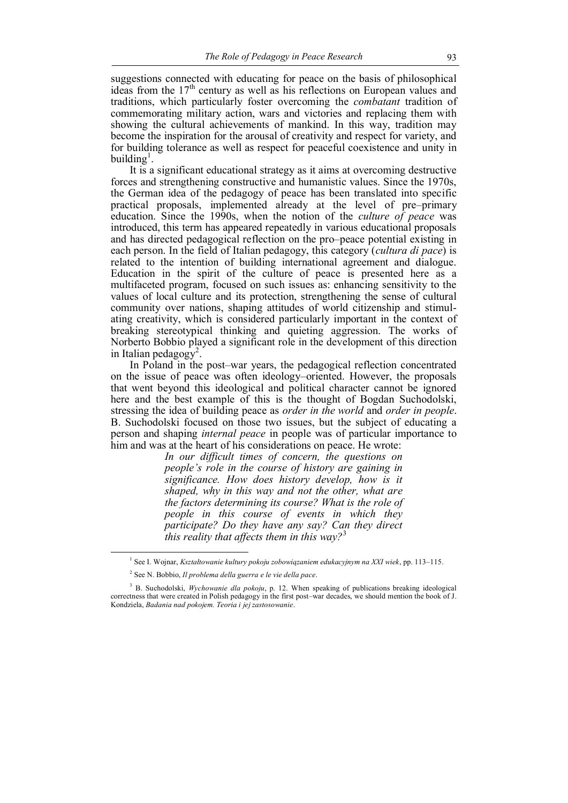suggestions connected with educating for peace on the basis of philosophical ideas from the 17<sup>th</sup> century as well as his reflections on European values and traditions, which particularly foster overcoming the *combatant* tradition of commemorating military action, wars and victories and replacing them with showing the cultural achievements of mankind. In this way, tradition may become the inspiration for the arousal of creativity and respect for variety, and for building tolerance as well as respect for peaceful coexistence and unity in building<sup>1</sup>.

It is a significant educational strategy as it aims at overcoming destructive forces and strengthening constructive and humanistic values. Since the 1970s, the German idea of the pedagogy of peace has been translated into specific practical proposals, implemented already at the level of pre–primary education. Since the 1990s, when the notion of the *culture of peace* was introduced, this term has appeared repeatedly in various educational proposals and has directed pedagogical reflection on the pro–peace potential existing in each person. In the field of Italian pedagogy, this category (*cultura di pace*) is related to the intention of building international agreement and dialogue. Education in the spirit of the culture of peace is presented here as a multifaceted program, focused on such issues as: enhancing sensitivity to the values of local culture and its protection, strengthening the sense of cultural community over nations, shaping attitudes of world citizenship and stimulating creativity, which is considered particularly important in the context of breaking stereotypical thinking and quieting aggression. The works of Norberto Bobbio played a significant role in the development of this direction in Italian pedagogy<sup>2</sup>.

In Poland in the post–war years, the pedagogical reflection concentrated on the issue of peace was often ideology–oriented. However, the proposals that went beyond this ideological and political character cannot be ignored here and the best example of this is the thought of Bogdan Suchodolski, stressing the idea of building peace as *order in the world* and *order in people*. B. Suchodolski focused on those two issues, but the subject of educating a person and shaping *internal peace* in people was of particular importance to him and was at the heart of his considerations on peace. He wrote:

*In our difficult times of concern, the questions on people's role in the course of history are gaining in significance. How does history develop, how is it shaped, why in this way and not the other, what are the factors determining its course? What is the role of people in this course of events in which they participate? Do they have any say? Can they direct this reality that affects them in this way?*<sup>3</sup>

<sup>1</sup> See I. Wojnar, *Kształtowanie kultury pokoju zobowiązaniem edukacyjnym na XXI wiek*, pp. 113–115.

<sup>2</sup> See N. Bobbio, *Il problema della guerra e le vie della pace*.

<sup>3</sup> B. Suchodolski, *Wychowanie dla pokoju*, p. 12. When speaking of publications breaking ideological correctness that were created in Polish pedagogy in the first post–war decades, we should mention the book of J. Kondziela, *Badania nad pokojem. Teoria i jej zastosowanie*.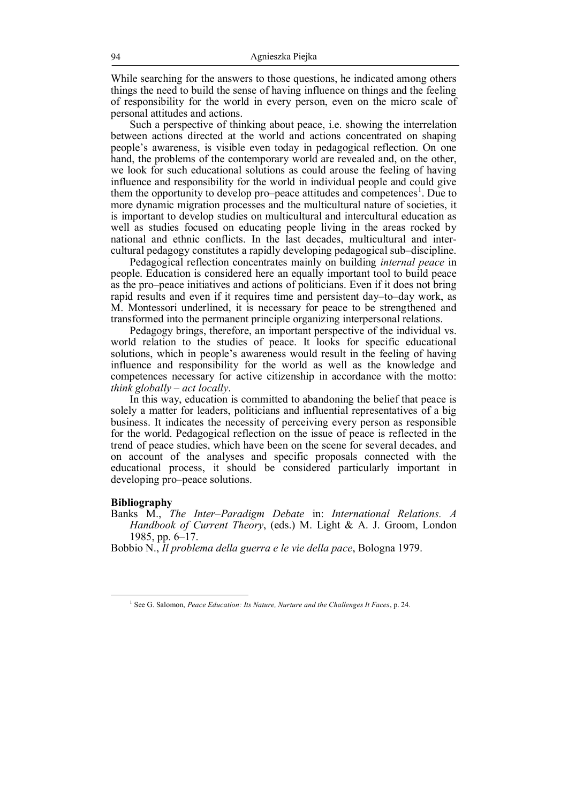While searching for the answers to those questions, he indicated among others things the need to build the sense of having influence on things and the feeling of responsibility for the world in every person, even on the micro scale of personal attitudes and actions.

Such a perspective of thinking about peace, i.e. showing the interrelation between actions directed at the world and actions concentrated on shaping people's awareness, is visible even today in pedagogical reflection. On one hand, the problems of the contemporary world are revealed and, on the other, we look for such educational solutions as could arouse the feeling of having influence and responsibility for the world in individual people and could give them the opportunity to develop pro–peace attitudes and competences<sup>1</sup>. Due to more dynamic migration processes and the multicultural nature of societies, it is important to develop studies on multicultural and intercultural education as well as studies focused on educating people living in the areas rocked by national and ethnic conflicts. In the last decades, multicultural and intercultural pedagogy constitutes a rapidly developing pedagogical sub–discipline.

Pedagogical reflection concentrates mainly on building *internal peace* in people. Education is considered here an equally important tool to build peace as the pro–peace initiatives and actions of politicians. Even if it does not bring rapid results and even if it requires time and persistent day–to–day work, as M. Montessori underlined, it is necessary for peace to be strengthened and transformed into the permanent principle organizing interpersonal relations.

Pedagogy brings, therefore, an important perspective of the individual vs. world relation to the studies of peace. It looks for specific educational solutions, which in people's awareness would result in the feeling of having influence and responsibility for the world as well as the knowledge and competences necessary for active citizenship in accordance with the motto: *think globally – act locally*.

In this way, education is committed to abandoning the belief that peace is solely a matter for leaders, politicians and influential representatives of a big business. It indicates the necessity of perceiving every person as responsible for the world. Pedagogical reflection on the issue of peace is reflected in the trend of peace studies, which have been on the scene for several decades, and on account of the analyses and specific proposals connected with the educational process, it should be considered particularly important in developing pro–peace solutions.

### **Bibliography**

 $\overline{a}$ 

Banks M., *The Inter–Paradigm Debate* in: *International Relations. A Handbook of Current Theory*, (eds.) M. Light & A. J. Groom, London 1985, pp. 6–17.

Bobbio N., *Il problema della guerra e le vie della pace*, Bologna 1979.

<sup>&</sup>lt;sup>1</sup> See G. Salomon, *Peace Education: Its Nature, Nurture and the Challenges It Faces*, p. 24.